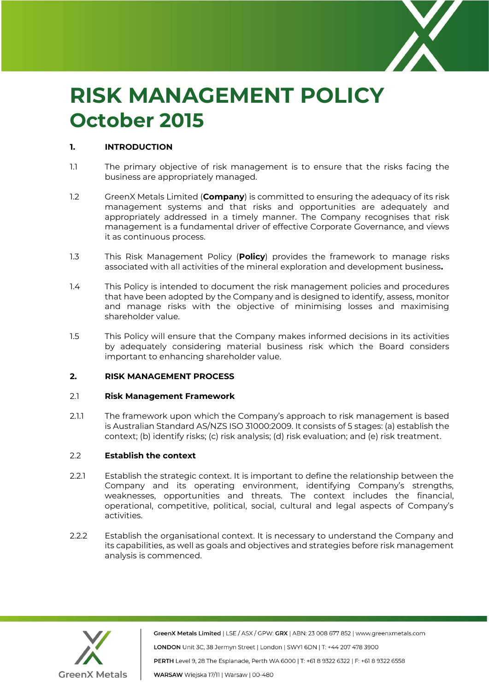

# **RISK MANAGEMENT POLICY October 2015**

# **1. INTRODUCTION**

- 1.1 The primary objective of risk management is to ensure that the risks facing the business are appropriately managed.
- 1.2 GreenX Metals Limited (**Company**) is committed to ensuring the adequacy of its risk management systems and that risks and opportunities are adequately and appropriately addressed in a timely manner. The Company recognises that risk management is a fundamental driver of effective Corporate Governance, and views it as continuous process.
- 1.3 This Risk Management Policy (**Policy**) provides the framework to manage risks associated with all activities of the mineral exploration and development business**.**
- 1.4 This Policy is intended to document the risk management policies and procedures that have been adopted by the Company and is designed to identify, assess, monitor and manage risks with the objective of minimising losses and maximising shareholder value.
- 1.5 This Policy will ensure that the Company makes informed decisions in its activities by adequately considering material business risk which the Board considers important to enhancing shareholder value.

#### **2. RISK MANAGEMENT PROCESS**

#### 2.1 **Risk Management Framework**

2.1.1 The framework upon which the Company's approach to risk management is based is Australian Standard AS/NZS ISO 31000:2009. It consists of 5 stages: (a) establish the context; (b) identify risks; (c) risk analysis; (d) risk evaluation; and (e) risk treatment.

# 2.2 **Establish the context**

- 2.2.1 Establish the strategic context. It is important to define the relationship between the Company and its operating environment, identifying Company's strengths, weaknesses, opportunities and threats. The context includes the financial, operational, competitive, political, social, cultural and legal aspects of Company's activities.
- 2.2.2 Establish the organisational context. It is necessary to understand the Company and its capabilities, as well as goals and objectives and strategies before risk management analysis is commenced.



GreenX Metals Limited | LSE / ASX / GPW: GRX | ABN: 23 008 677 852 | www.greenxmetals.com LONDON Unit 3C, 38 Jermyn Street | London | SWY1 6DN | T: +44 207 478 3900 PERTH Level 9, 28 The Esplanade, Perth WA 6000 | T: +61 8 9322 6322 | F: +61 8 9322 6558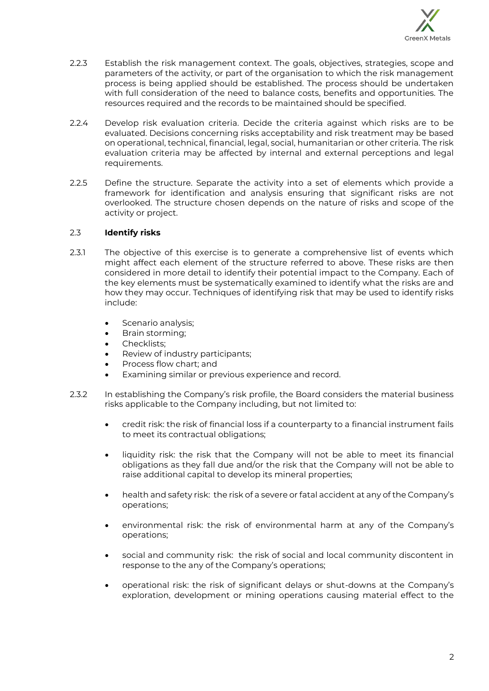

- 2.2.3 Establish the risk management context. The goals, objectives, strategies, scope and parameters of the activity, or part of the organisation to which the risk management process is being applied should be established. The process should be undertaken with full consideration of the need to balance costs, benefits and opportunities. The resources required and the records to be maintained should be specified.
- 2.2.4 Develop risk evaluation criteria. Decide the criteria against which risks are to be evaluated. Decisions concerning risks acceptability and risk treatment may be based on operational, technical, financial, legal, social, humanitarian or other criteria. The risk evaluation criteria may be affected by internal and external perceptions and legal requirements.
- 2.2.5 Define the structure. Separate the activity into a set of elements which provide a framework for identification and analysis ensuring that significant risks are not overlooked. The structure chosen depends on the nature of risks and scope of the activity or project.

## 2.3 **Identify risks**

- 2.3.1 The objective of this exercise is to generate a comprehensive list of events which might affect each element of the structure referred to above. These risks are then considered in more detail to identify their potential impact to the Company. Each of the key elements must be systematically examined to identify what the risks are and how they may occur. Techniques of identifying risk that may be used to identify risks include:
	- Scenario analysis;
	- Brain storming;
	- Checklists:
	- Review of industry participants;
	- Process flow chart; and
	- Examining similar or previous experience and record.
- 2.3.2 In establishing the Company's risk profile, the Board considers the material business risks applicable to the Company including, but not limited to:
	- credit risk: the risk of financial loss if a counterparty to a financial instrument fails to meet its contractual obligations;
	- liquidity risk: the risk that the Company will not be able to meet its financial obligations as they fall due and/or the risk that the Company will not be able to raise additional capital to develop its mineral properties;
	- health and safety risk: the risk of a severe or fatal accident at any of the Company's operations;
	- environmental risk: the risk of environmental harm at any of the Company's operations;
	- social and community risk: the risk of social and local community discontent in response to the any of the Company's operations;
	- operational risk: the risk of significant delays or shut-downs at the Company's exploration, development or mining operations causing material effect to the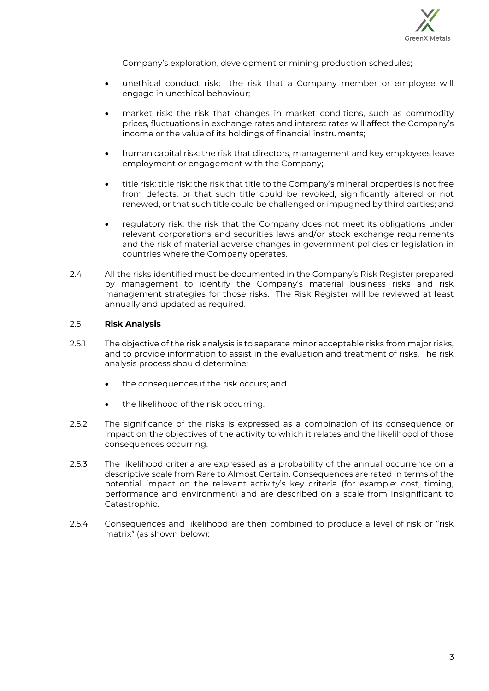

Company's exploration, development or mining production schedules;

- unethical conduct risk: the risk that a Company member or employee will engage in unethical behaviour;
- market risk: the risk that changes in market conditions, such as commodity prices, fluctuations in exchange rates and interest rates will affect the Company's income or the value of its holdings of financial instruments;
- human capital risk: the risk that directors, management and key employees leave employment or engagement with the Company;
- title risk: title risk: the risk that title to the Company's mineral properties is not free from defects, or that such title could be revoked, significantly altered or not renewed, or that such title could be challenged or impugned by third parties; and
- regulatory risk: the risk that the Company does not meet its obligations under relevant corporations and securities laws and/or stock exchange requirements and the risk of material adverse changes in government policies or legislation in countries where the Company operates.
- 2.4 All the risks identified must be documented in the Company's Risk Register prepared by management to identify the Company's material business risks and risk management strategies for those risks. The Risk Register will be reviewed at least annually and updated as required.

## 2.5 **Risk Analysis**

- 2.5.1 The objective of the risk analysis is to separate minor acceptable risks from major risks, and to provide information to assist in the evaluation and treatment of risks. The risk analysis process should determine:
	- the consequences if the risk occurs; and
	- the likelihood of the risk occurring.
- 2.5.2 The significance of the risks is expressed as a combination of its consequence or impact on the objectives of the activity to which it relates and the likelihood of those consequences occurring.
- 2.5.3 The likelihood criteria are expressed as a probability of the annual occurrence on a descriptive scale from Rare to Almost Certain. Consequences are rated in terms of the potential impact on the relevant activity's key criteria (for example: cost, timing, performance and environment) and are described on a scale from Insignificant to Catastrophic.
- 2.5.4 Consequences and likelihood are then combined to produce a level of risk or "risk matrix" (as shown below):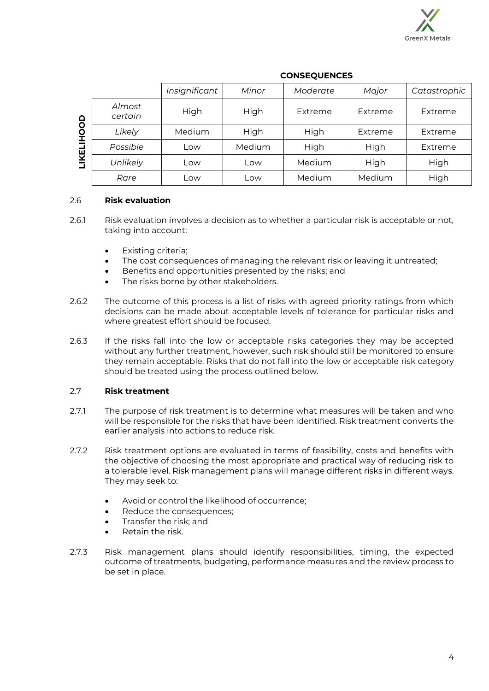

|                                                |                   | Insignificant | Minor  | Moderate | Major   | Catastrophic |
|------------------------------------------------|-------------------|---------------|--------|----------|---------|--------------|
| $\overline{6}$<br>$\bar{\mathsf{Q}}$<br>п<br>ш | Almost<br>certain | High          | High   | Extreme  | Extreme | Extreme      |
|                                                | Likely            | Medium        | High   | High     | Extreme | Extreme      |
|                                                | Possible          | LOW           | Medium | High     | High    | Extreme      |
| ⊻                                              | Unlikely          | ∟OW           | Low    | Medium   | High    | High         |
|                                                | Rare              | LOW           | Low    | Medium   | Medium  | High         |

## **CONSEQUENCES**

## 2.6 **Risk evaluation**

- 2.6.1 Risk evaluation involves a decision as to whether a particular risk is acceptable or not, taking into account:
	- Existing criteria;
	- The cost consequences of managing the relevant risk or leaving it untreated;
	- Benefits and opportunities presented by the risks; and
	- The risks borne by other stakeholders.
- 2.6.2 The outcome of this process is a list of risks with agreed priority ratings from which decisions can be made about acceptable levels of tolerance for particular risks and where greatest effort should be focused.
- 2.6.3 If the risks fall into the low or acceptable risks categories they may be accepted without any further treatment, however, such risk should still be monitored to ensure they remain acceptable. Risks that do not fall into the low or acceptable risk category should be treated using the process outlined below.

## 2.7 **Risk treatment**

- 2.7.1 The purpose of risk treatment is to determine what measures will be taken and who will be responsible for the risks that have been identified. Risk treatment converts the earlier analysis into actions to reduce risk.
- 2.7.2 Risk treatment options are evaluated in terms of feasibility, costs and benefits with the objective of choosing the most appropriate and practical way of reducing risk to a tolerable level. Risk management plans will manage different risks in different ways. They may seek to:
	- Avoid or control the likelihood of occurrence;
	- Reduce the consequences:
	- Transfer the risk; and
	- Retain the risk.
- 2.7.3 Risk management plans should identify responsibilities, timing, the expected outcome of treatments, budgeting, performance measures and the review process to be set in place.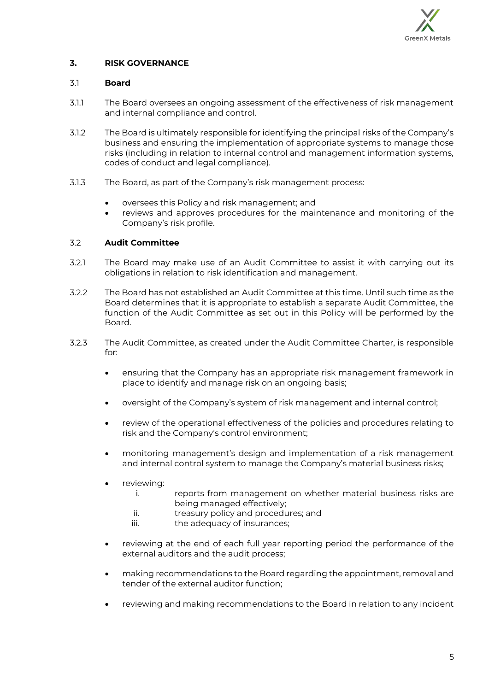

# **3. RISK GOVERNANCE**

#### 3.1 **Board**

- 3.1.1 The Board oversees an ongoing assessment of the effectiveness of risk management and internal compliance and control.
- 3.1.2 The Board is ultimately responsible for identifying the principal risks of the Company's business and ensuring the implementation of appropriate systems to manage those risks (including in relation to internal control and management information systems, codes of conduct and legal compliance).
- 3.1.3 The Board, as part of the Company's risk management process:
	- oversees this Policy and risk management; and
	- reviews and approves procedures for the maintenance and monitoring of the Company's risk profile.

## 3.2 **Audit Committee**

- 3.2.1 The Board may make use of an Audit Committee to assist it with carrying out its obligations in relation to risk identification and management.
- 3.2.2 The Board has not established an Audit Committee at this time. Until such time as the Board determines that it is appropriate to establish a separate Audit Committee, the function of the Audit Committee as set out in this Policy will be performed by the Board.
- 3.2.3 The Audit Committee, as created under the Audit Committee Charter, is responsible for:
	- ensuring that the Company has an appropriate risk management framework in place to identify and manage risk on an ongoing basis;
	- oversight of the Company's system of risk management and internal control;
	- review of the operational effectiveness of the policies and procedures relating to risk and the Company's control environment;
	- monitoring management's design and implementation of a risk management and internal control system to manage the Company's material business risks;
	- reviewing:
		- i. reports from management on whether material business risks are being managed effectively;
		- ii. treasury policy and procedures; and
		- iii. the adequacy of insurances;
	- reviewing at the end of each full year reporting period the performance of the external auditors and the audit process;
	- making recommendations to the Board regarding the appointment, removal and tender of the external auditor function;
	- reviewing and making recommendations to the Board in relation to any incident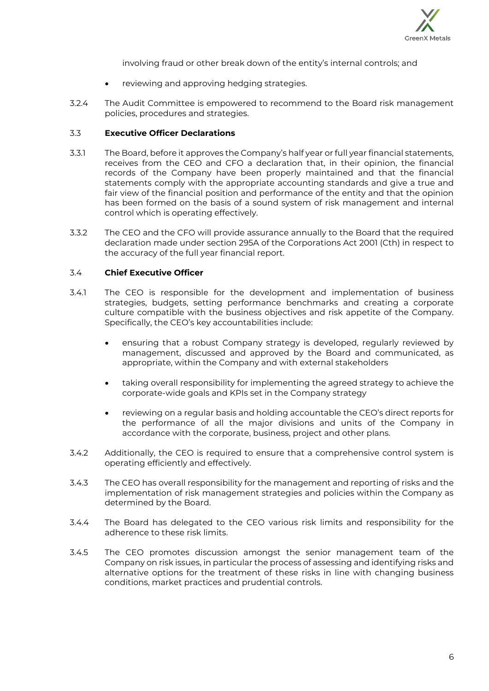

involving fraud or other break down of the entity's internal controls; and

- reviewing and approving hedging strategies.
- 3.2.4 The Audit Committee is empowered to recommend to the Board risk management policies, procedures and strategies.

## 3.3 **Executive Officer Declarations**

- 3.3.1 The Board, before it approves the Company's half year or full year financial statements, receives from the CEO and CFO a declaration that, in their opinion, the financial records of the Company have been properly maintained and that the financial statements comply with the appropriate accounting standards and give a true and fair view of the financial position and performance of the entity and that the opinion has been formed on the basis of a sound system of risk management and internal control which is operating effectively.
- 3.3.2 The CEO and the CFO will provide assurance annually to the Board that the required declaration made under section 295A of the Corporations Act 2001 (Cth) in respect to the accuracy of the full year financial report.

## 3.4 **Chief Executive Officer**

- 3.4.1 The CEO is responsible for the development and implementation of business strategies, budgets, setting performance benchmarks and creating a corporate culture compatible with the business objectives and risk appetite of the Company. Specifically, the CEO's key accountabilities include:
	- ensuring that a robust Company strategy is developed, regularly reviewed by management, discussed and approved by the Board and communicated, as appropriate, within the Company and with external stakeholders
	- taking overall responsibility for implementing the agreed strategy to achieve the corporate-wide goals and KPIs set in the Company strategy
	- reviewing on a regular basis and holding accountable the CEO's direct reports for the performance of all the major divisions and units of the Company in accordance with the corporate, business, project and other plans.
- 3.4.2 Additionally, the CEO is required to ensure that a comprehensive control system is operating efficiently and effectively.
- 3.4.3 The CEO has overall responsibility for the management and reporting of risks and the implementation of risk management strategies and policies within the Company as determined by the Board.
- 3.4.4 The Board has delegated to the CEO various risk limits and responsibility for the adherence to these risk limits.
- 3.4.5 The CEO promotes discussion amongst the senior management team of the Company on risk issues, in particular the process of assessing and identifying risks and alternative options for the treatment of these risks in line with changing business conditions, market practices and prudential controls.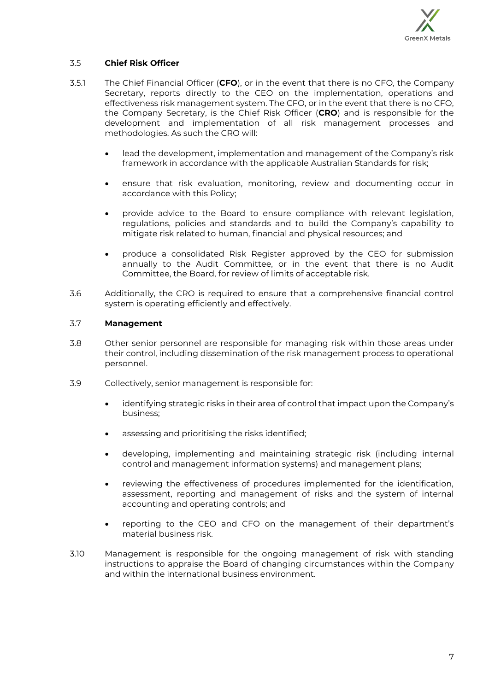

# 3.5 **Chief Risk Officer**

- 3.5.1 The Chief Financial Officer (**CFO**), or in the event that there is no CFO, the Company Secretary, reports directly to the CEO on the implementation, operations and effectiveness risk management system. The CFO, or in the event that there is no CFO, the Company Secretary, is the Chief Risk Officer (**CRO**) and is responsible for the development and implementation of all risk management processes and methodologies. As such the CRO will:
	- lead the development, implementation and management of the Company's risk framework in accordance with the applicable Australian Standards for risk;
	- ensure that risk evaluation, monitoring, review and documenting occur in accordance with this Policy;
	- provide advice to the Board to ensure compliance with relevant legislation, regulations, policies and standards and to build the Company's capability to mitigate risk related to human, financial and physical resources; and
	- produce a consolidated Risk Register approved by the CEO for submission annually to the Audit Committee, or in the event that there is no Audit Committee, the Board, for review of limits of acceptable risk.
- 3.6 Additionally, the CRO is required to ensure that a comprehensive financial control system is operating efficiently and effectively.

#### 3.7 **Management**

- 3.8 Other senior personnel are responsible for managing risk within those areas under their control, including dissemination of the risk management process to operational personnel.
- 3.9 Collectively, senior management is responsible for:
	- identifying strategic risks in their area of control that impact upon the Company's business;
	- assessing and prioritising the risks identified:
	- developing, implementing and maintaining strategic risk (including internal control and management information systems) and management plans;
	- reviewing the effectiveness of procedures implemented for the identification, assessment, reporting and management of risks and the system of internal accounting and operating controls; and
	- reporting to the CEO and CFO on the management of their department's material business risk.
- 3.10 Management is responsible for the ongoing management of risk with standing instructions to appraise the Board of changing circumstances within the Company and within the international business environment.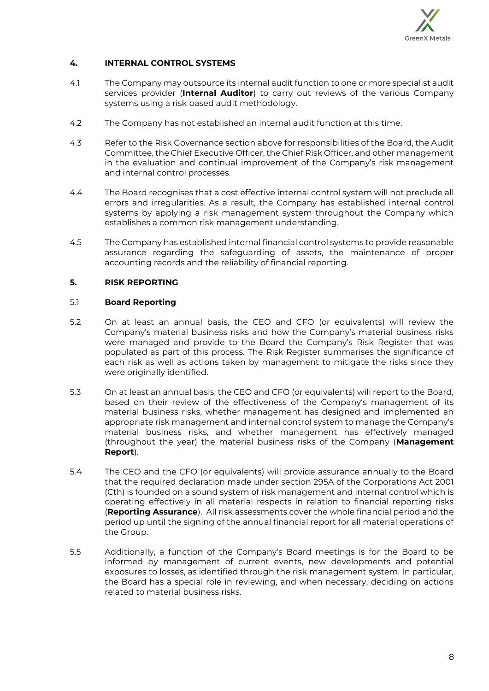

# **4. INTERNAL CONTROL SYSTEMS**

- 4.1 The Company may outsource its internal audit function to one or more specialist audit services provider (**Internal Auditor**) to carry out reviews of the various Company systems using a risk based audit methodology.
- 4.2 The Company has not established an internal audit function at this time.
- 4.3 Refer to the Risk Governance section above for responsibilities of the Board, the Audit Committee, the Chief Executive Officer, the Chief Risk Officer, and other management in the evaluation and continual improvement of the Company's risk management and internal control processes.
- 4.4 The Board recognises that a cost effective internal control system will not preclude all errors and irregularities. As a result, the Company has established internal control systems by applying a risk management system throughout the Company which establishes a common risk management understanding.
- 4.5 The Company has established internal financial control systems to provide reasonable assurance regarding the safeguarding of assets, the maintenance of proper accounting records and the reliability of financial reporting.

## **5. RISK REPORTING**

#### 5.1 **Board Reporting**

- 5.2 On at least an annual basis, the CEO and CFO (or equivalents) will review the Company's material business risks and how the Company's material business risks were managed and provide to the Board the Company's Risk Register that was populated as part of this process. The Risk Register summarises the significance of each risk as well as actions taken by management to mitigate the risks since they were originally identified.
- 5.3 On at least an annual basis, the CEO and CFO (or equivalents) will report to the Board, based on their review of the effectiveness of the Company's management of its material business risks, whether management has designed and implemented an appropriate risk management and internal control system to manage the Company's material business risks, and whether management has effectively managed (throughout the year) the material business risks of the Company (**Management Report**).
- 5.4 The CEO and the CFO (or equivalents) will provide assurance annually to the Board that the required declaration made under section 295A of the Corporations Act 2001 (Cth) is founded on a sound system of risk management and internal control which is operating effectively in all material respects in relation to financial reporting risks (**Reporting Assurance**). All risk assessments cover the whole financial period and the period up until the signing of the annual financial report for all material operations of the Group.
- 5.5 Additionally, a function of the Company's Board meetings is for the Board to be informed by management of current events, new developments and potential exposures to losses, as identified through the risk management system. In particular, the Board has a special role in reviewing, and when necessary, deciding on actions related to material business risks.